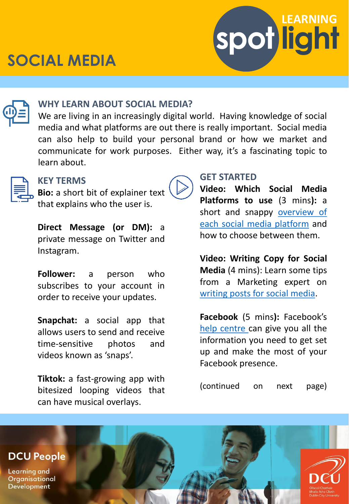# **SOCIAL MEDIA**





### **WHY LEARN ABOUT SOCIAL MEDIA?**

We are living in an increasingly digital world. Having knowledge of social media and what platforms are out there is really important. Social media can also help to build your personal brand or how we market and communicate for work purposes. Either way, it's a fascinating topic to learn about.



### **KEY TERMS**

**Bio:** a short bit of explainer text that explains who the user is.

**Direct Message (or DM):** a private message on Twitter and Instagram.

**Follower:** a person who subscribes to your account in order to receive your updates.

**Snapchat:** a social app that allows users to send and receive time-sensitive photos and videos known as 'snaps'.

**Tiktok:** a fast-growing app with bitesized looping videos that can have musical overlays.



**Video: Which Social Media Platforms to use** (3 mins**):** a short and snappy [overview](https://www.linkedin.com/learning-login/share?account=2372722&forceAccount=false&redirect=https://www.linkedin.com/learning/freelancing-tips/which-social-media-platforms-to-use?trk%3Dshare_video_url%26shareId%3DLBZmJ1jxRoiUqoMDn%2FXgZA%3D%3D) of each social media platform and how to choose between them.

**Video: Writing Copy for Social Media** (4 mins): Learn some tips from a Marketing expert on [writing](https://www.linkedin.com/learning-login/share?account=2372722&forceAccount=false&redirect=https://www.linkedin.com/learning/learning-to-write-marketing-copy/writing-copy-for-social-media?trk%3Dshare_video_url%26shareId%3DM0IZiZuCST6ca8T04%2FI9kQ%3D%3D) posts for social media.

**Facebook** (5 mins**):** Facebook's help [centre](https://www.facebook.com/help/570785306433644/?helpref=hc_fnav) can give you all the information you need to get set up and make the most of your Facebook presence.

(continued on next page)